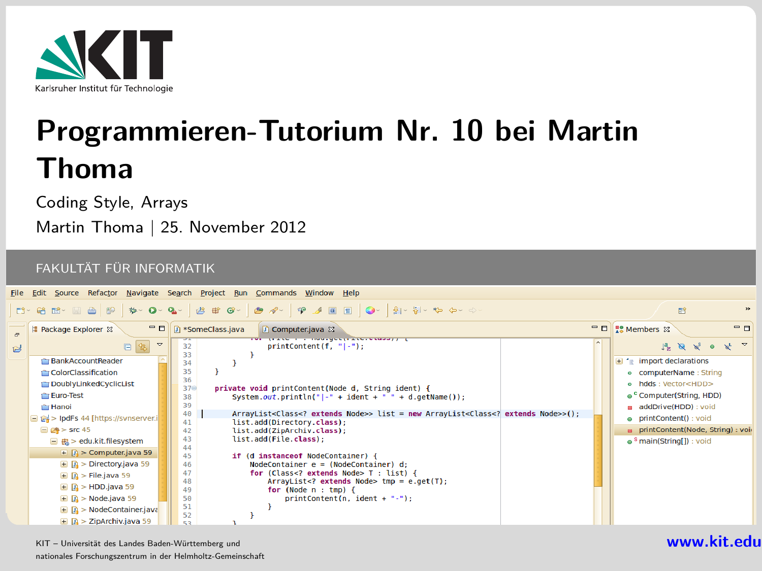

### **Programmieren-Tutorium Nr. 10 bei Martin Thoma**

Coding Style, Arrays

Martin Thoma | 25. November 2012

#### FAKULTÄT FÜR INFORMATIK

<span id="page-0-0"></span>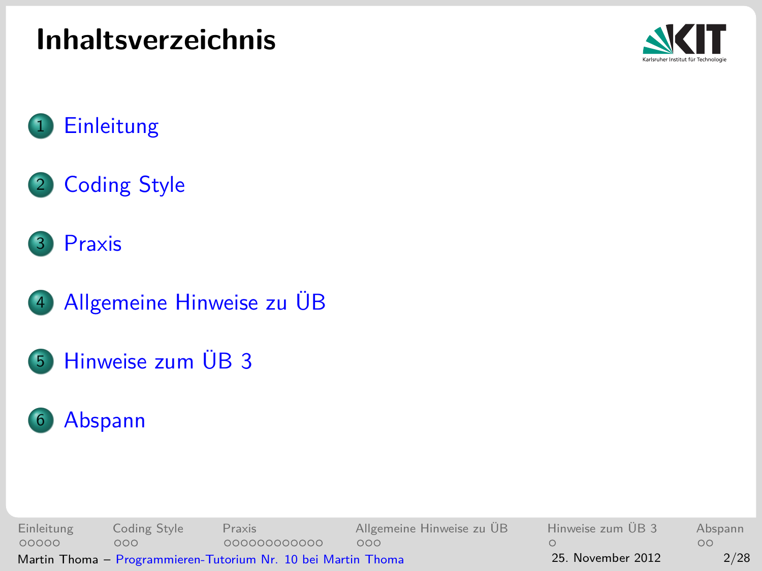### **Inhaltsverzeichnis**









- [Allgemeine Hinweise zu ÜB](#page-22-0)
- [Hinweise zum ÜB 3](#page-25-0)



[Einleitung](#page-2-0) [Coding Style](#page-7-0) [Praxis](#page-10-0) [Allgemeine Hinweise zu ÜB](#page-22-0) [Hinweise zum ÜB 3](#page-25-0) [Abspann](#page-26-0)  $\Omega$  $\circ$ Martin Thoma – [Programmieren-Tutorium Nr. 10 bei Martin Thoma](#page-0-0) 25. November 2012 2/28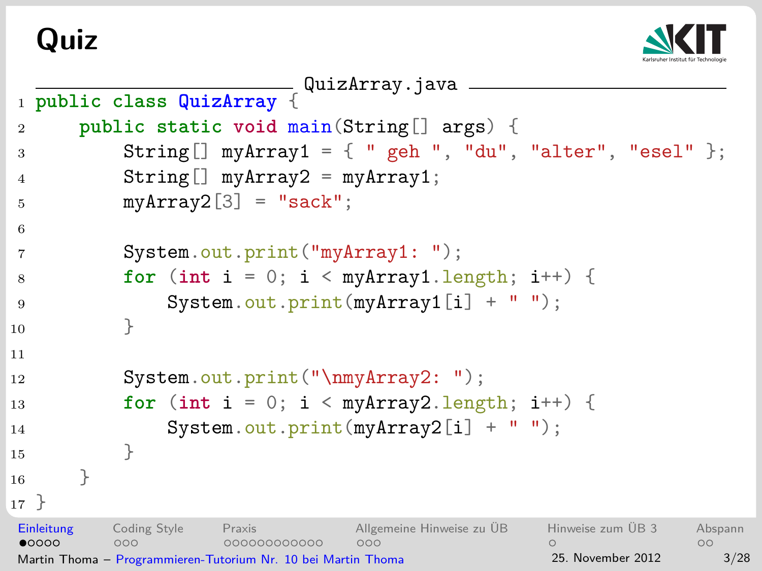**Quiz**

<span id="page-2-0"></span>

```
QuizArray.java
  1 public class QuizArray {
2 public static void main(String[] args) {
3 String [] myArray1 = { " geh ", "du", "alter", "esel" };
4 String \lceil \cdot \rceil my Array 2 = my Array 1;
5 myArray2[3] = "sack";
6
7 System.out.print("myArray1: ");
8 for (int i = 0; i < myArray1.length; i++) {
9 System.out.print(m\gamma Array1[i] + "");
10 }
11
12 System.out.print("\nmyArray2: ");
13 for (int i = 0; i < myArray2.length; i++) {
14 System.out.print(myArray2[i] + " ");
15 }
16 \quad \frac{1}{2}17 }
Einleitung Coding Style Praxis Allgemeine Hinweise zu ÜB Hinweise zum ÜB 3 Abspann
•0000\circGibt es einen Compiler-Fehler?
Martin Thoma – Programmieren-Tutorium Nr. 10 bei Martin Thoma 25. November 2012 3/28
```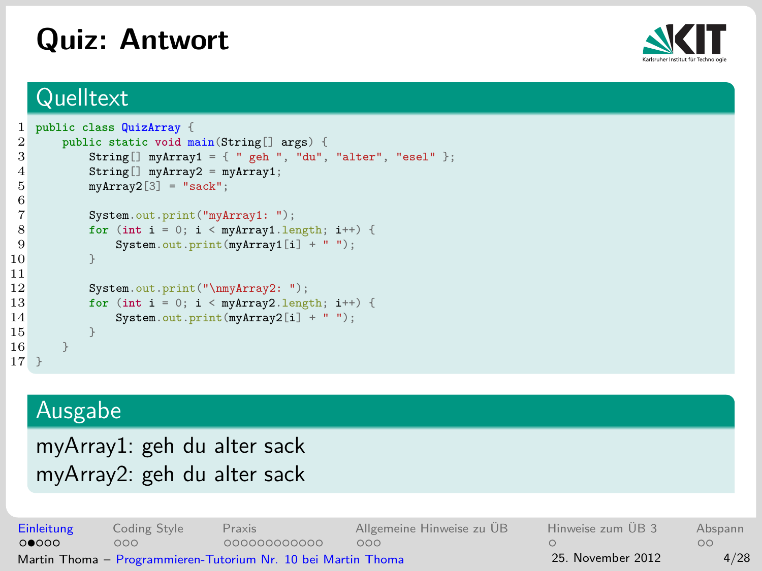### **Quiz: Antwort**

<span id="page-3-0"></span>

### **Quelltext**

```
1 public class QuizArray {
 2 public static void main(String[] args) {<br>3 String[] myArray1 = { " geh " "du"
 3 String[] myArray1 = { " geh ", "du", "alter", "esel" };<br>4 String[] myArray2 = myArray1;
 4 String[] myArray2 = myArray1;<br>5 myArray2[3] = "sack";
                  myArray2[3] = "sack";\frac{6}{7}7 System.out.print("myArray1: ");<br>8 for (int i = 0; i < myArray1.le
 8 for (int i = 0; i < myArray1.length; i++) {<br>9 System out print (myArray1 [i] + " ").
9 System.out.print(myArray1[i] + " ");<br>10
10 }
\frac{11}{12}12 System.out.print("\nmyArray2: ");<br>13 for (int i = 0; i < myArray2 leng
13 for (int i = 0; i < myArray2.length; i++) {<br>14 expressed in the sumplement of the sumplement of the sumplement of int (mM) r m n v^2System.out.print(myArray2[i] + " ");15 }
16 }
17 }
```
#### Ausgabe

```
myArray1: geh du alter sack
myArray2: geh du alter sack
```
[Einleitung](#page-2-0) [Coding Style](#page-7-0) [Praxis](#page-10-0) [Allgemeine Hinweise zu ÜB](#page-22-0) [Hinweise zum ÜB 3](#page-25-0) [Abspann](#page-26-0)  $00000$  $000$ 000000000000  $000$  $\circ$  $\Omega$ Martin Thoma – [Programmieren-Tutorium Nr. 10 bei Martin Thoma](#page-0-0) 25. November 2012 4/28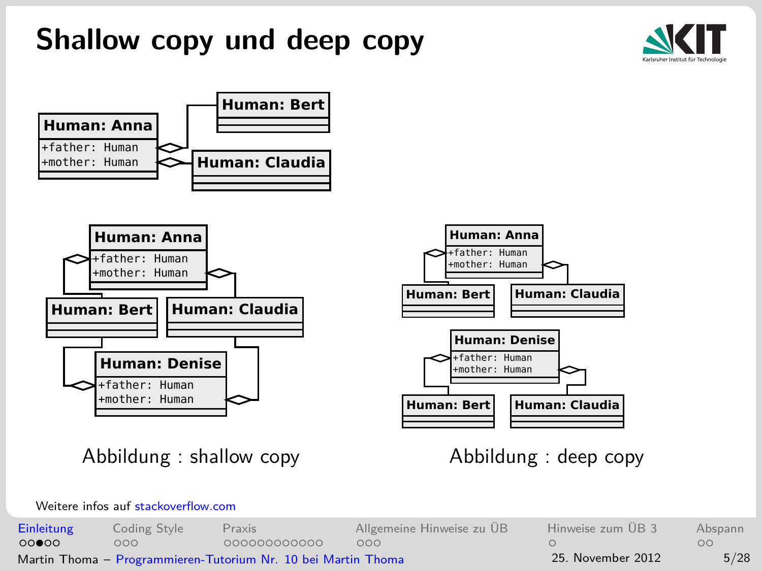# **Shallow copy und deep copy**





Abbildung : shallow copy



<span id="page-4-0"></span>Abbildung : deep copy

#### Weitere infos auf [stackoverflow.com](http://stackoverflow.com/a/9835954/562769)

+mother: Human

| <b>Einleitung</b>                                             | Coding Style | <b>Praxis</b> | Allgemeine Hinweise zu ÜB | Hinweise zum ÜB 3 | Abspann |
|---------------------------------------------------------------|--------------|---------------|---------------------------|-------------------|---------|
| 00000                                                         | റററ          | 000000000000  | 000                       |                   | ററ      |
| Martin Thoma - Programmieren-Tutorium Nr. 10 bei Martin Thoma |              |               |                           | 25. November 2012 | 5/28    |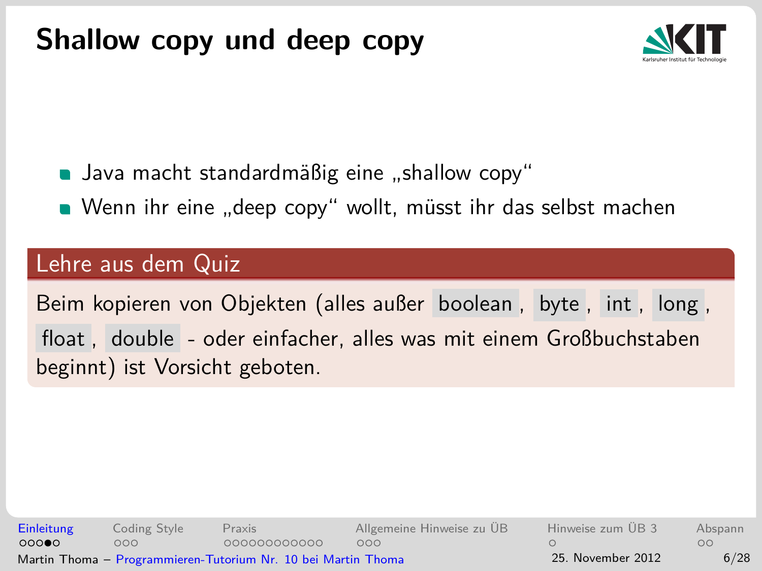## **Shallow copy und deep copy**

<span id="page-5-0"></span>

- **Java macht standardmäßig eine "shallow copy"**
- **Numann** ihr eine "deep copy" wollt, müsst ihr das selbst machen

### Lehre aus dem Quiz

Beim kopieren von Objekten (alles außer boolean , byte , int , long , float , double - oder einfacher, alles was mit einem Großbuchstaben beginnt) ist Vorsicht geboten.

[Einleitung](#page-2-0) [Coding Style](#page-7-0) [Praxis](#page-10-0) [Allgemeine Hinweise zu ÜB](#page-22-0) [Hinweise zum ÜB 3](#page-25-0) [Abspann](#page-26-0)  $000$  $000$ ∩∩∩≙∩ 000000000000  $OO$ Martin Thoma – [Programmieren-Tutorium Nr. 10 bei Martin Thoma](#page-0-0) 25. November 2012 6/28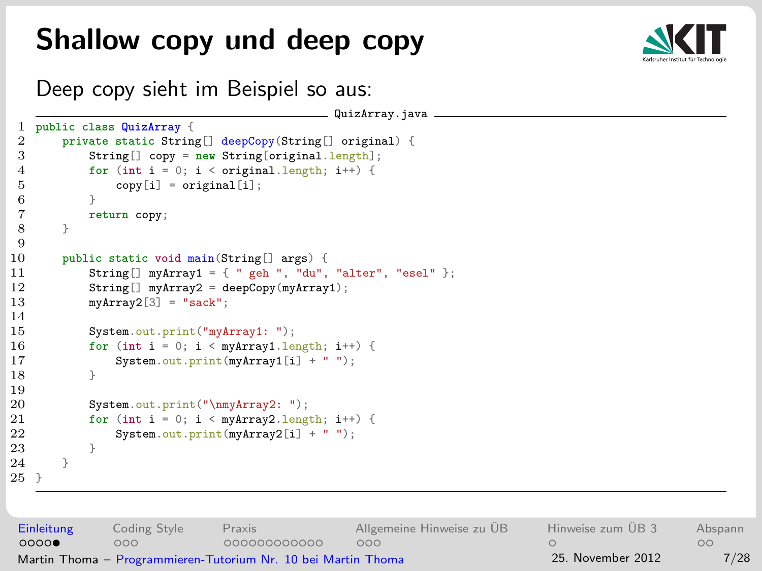### **Shallow copy und deep copy**



Deep copy sieht im Beispiel so aus:

```
QuizArray.java
  1 public class QuizArray {
  2 private static String[] deepCopy(String[] original) {<br>3 String[] copy = new String[original.length]:
  3 String[] copy = new String[original.length];<br>4 for (int i = 0 : i < original] ength; i+14 for (\text{int } i = 0; i \leq \text{original.length}; i++) {<br>5 copy \begin{bmatrix} i \\ i \end{bmatrix} = original \begin{bmatrix} i \\ i \end{bmatrix};
  5 \qquad \qquad \text{copy}[i] = \text{original}[i];6 }
  7 return copy;
             \mathcal{E}\frac{9}{10}10 public static void main(String[] args) {<br>11 String[] myArray1 = { " geh " "du"
11 String[] myArray1 = { " geh ", "du", "alter", "esel" };<br>12 String[] myArray2 = deepCopy(myArray1).
12 String[] myArray2 = deepCopy(myArray1);<br>13 myArray2[3] = "sack":
                   myArray2[3] = "sack";\frac{14}{15}15 System.out.print("myArray1: ");<br>16 for (int i = 0: i \le m\nu Array1.le
16 for (int i = 0; i < myArray1.length; i++) {<br>17 System out print(myArray1[i] + " ").
                   System.out.print(myArray1[i] + " ");
18 }
\frac{19}{20}20 System.out.print("\nmyArray2: ");<br>21 for (int i = 0; i < myArray2 leng
21 for (int i = 0; i < myArray2.length; i++) {<br>
22 System out print (myArray2)[i] + " "System.out.print(myArray2[i] + " ");
23 }
\frac{24}{25} }
25 }
```
[Einleitung](#page-2-0) [Coding Style](#page-7-0) [Praxis](#page-10-0) [Allgemeine Hinweise zu ÜB](#page-22-0) [Hinweise zum ÜB 3](#page-25-0) [Abspann](#page-26-0)  $0000$  $000$ 00000000000  $000$  $\circ$  $\Omega$ Martin Thoma – [Programmieren-Tutorium Nr. 10 bei Martin Thoma](#page-0-0) 25. November 2012 7/28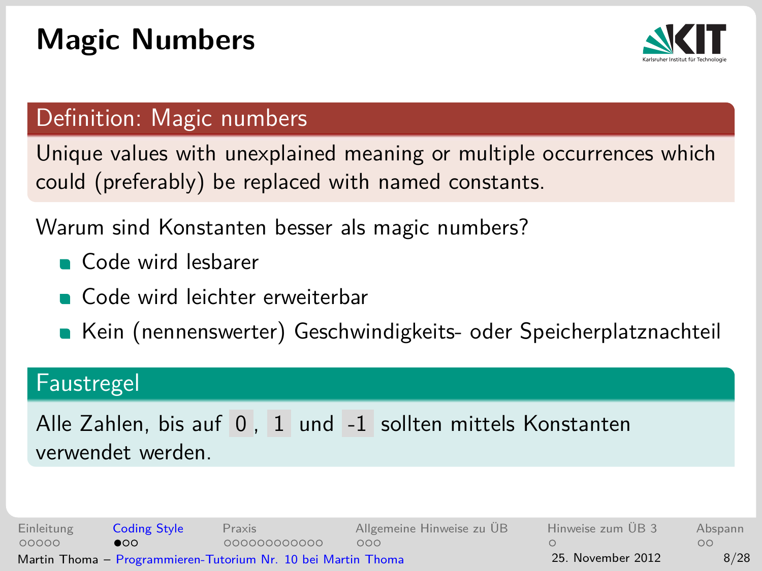# **Magic Numbers**

<span id="page-7-0"></span>

### Definition: Magic numbers

Unique values with unexplained meaning or multiple occurrences which could (preferably) be replaced with named constants.

Warum sind Konstanten besser als magic numbers?

- Code wird lesbarer
- Code wird leichter erweiterbar
- Kein (nennenswerter) Geschwindigkeits- oder Speicherplatznachteil

### Faustregel

Alle Zahlen, bis auf 0, 1 und -1 sollten mittels Konstanten verwendet werden.

[Einleitung](#page-2-0) [Coding Style](#page-7-0) [Praxis](#page-10-0) [Allgemeine Hinweise zu ÜB](#page-22-0) [Hinweise zum ÜB 3](#page-25-0) [Abspann](#page-26-0)  $\bullet$ 000000000000  $000$ 00000  $OO$ Martin Thoma – [Programmieren-Tutorium Nr. 10 bei Martin Thoma](#page-0-0) 25. November 2012 8/28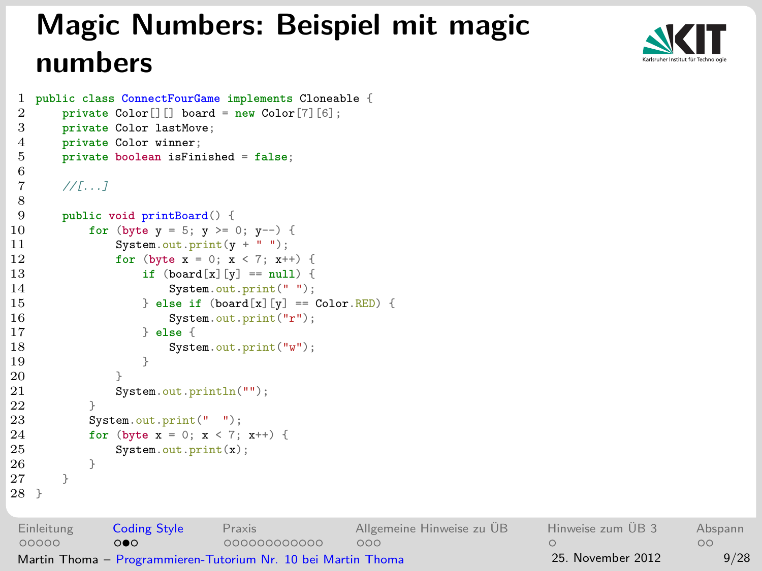# **Magic Numbers: Beispiel mit magic numbers**

```
1 public class ConnectFourGame implements Cloneable {
 2 private Color[][] board = new Color[7][6];
 3 private Color lastMove;
 4 private Color winner;
         5 private boolean isFinished = false;
 \frac{6}{7}7 //[...]
 \frac{8}{9}9 public void printBoard() {<br>10 for (byte y = 5: y >=
10 for (byte y = 5; y \ge 0; y = -) {<br>11 System.out.print(y + " ");
11 System.out.print(y + " ");<br>12 for (byte x = 0: x < 7: x+
12 for (byte x = 0; x < 7; x^{++}) {<br>13 if (board[x][y] == null) {
13 if (board[x][y] == null) {<br>14 System.out.print(" ");
14 System.out.print(" ");<br>15 \frac{1}{2} else if (board[x][y] ==
                       \} else if \left(\text{board}[x][y]\right) = \text{Color.RED} {
16 System.out.print("r");<br>17 } else {
17 } else {
18 System.out.print("w");<br>19 }
19 }
20 }
21 System.out.println("");
\frac{22}{23}23 System.out.print(" ");<br>24 for (byte x = 0; x < 7;
24 for (byte x = 0; x < 7; x^{++}) {<br>25 System.out.print(x):
                  Svstem.out.print(x):
26 }
27 }
28 }
```
<span id="page-8-0"></span>

| Einleitung | <b>Coding Style</b> | Praxis                                                                        | Allgemeine Hinweise zu ÜB | Hinweise zum ÜB 3 | Abspann    |
|------------|---------------------|-------------------------------------------------------------------------------|---------------------------|-------------------|------------|
| 00000      | റ∎റ                 | 000000000000<br>Martin Thoma - Programmieren-Tutorium Nr. 10 bei Martin Thoma | 000                       | 25. November 2012 | nn<br>9/28 |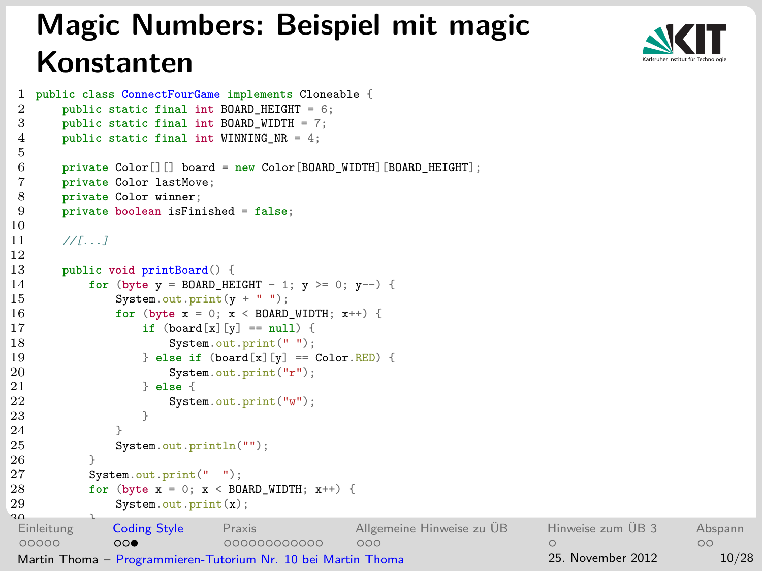## **Magic Numbers: Beispiel mit magic Konstanten**

 $\frac{5}{6}$ 

 $\frac{10}{11}$ 

 $\frac{12}{13}$ 

 $\frac{26}{27}$ 

```
1 public class ConnectFourGame implements Cloneable {
 2 public static final int BOARD_HEIGHT = 6;<br>3 public static final int BOARD WIDTH = 7:
 3 public static final int BOARD_WIDTH = 7;
        4 public static final int WINNING_NR = 4;
 6 private Color[][] board = new Color[BOARD_WIDTH][BOARD_HEIGHT];
 7 private Color lastMove;
 8 private Color winner;
        9 private boolean isFinished = false;
        11 //[...]
13 public void printBoard() {<br>14 for (byte y = ROARD HE
14 for (byte y = BOARD_HEIGHT - 1; y >= 0; y--) {<br>15 System.out.print(y + " "):
15 System.out.print(y + " ");<br>16 for (byte x = 0: x < R04RD)
16 for (byte x = 0; x < BOARD_WIDTH; x^{++}) {<br>17 if (board [x][y] == null) {
                     if (board[x][y] == null)18 System.out.print(" ");<br>19 \frac{1}{2} else if (board[x][v] ==
19 \} else if (board[x][y] == Color.RED) {<br>20 System_out_print("r"):
20 System.out.print("r");<br>21 \frac{1}{2} alse f
21 } else {
22 System.out.print("w");<br>23 }
23 }
24 }
25 System.out.println("");
27 System.out.print(" ");<br>28 for (byte x = 0: x < B0)
            for (byte x = 0; x < B0ARD WIDTH; x^{++}) {
29 System.out.print(x);
י<br>Einleitung<br>בכבר ב
                Coding StylePraxis Allgemeine Hinweise zu ÜBHinweise zum ÜB 3Abspann
 00000
                00000000000000
                                                       000\capMartin Thoma – Programmieren-Tutorium Nr. 10 bei Martin Thoma 25. November 2012 10/28
```


<span id="page-9-0"></span> $\circ$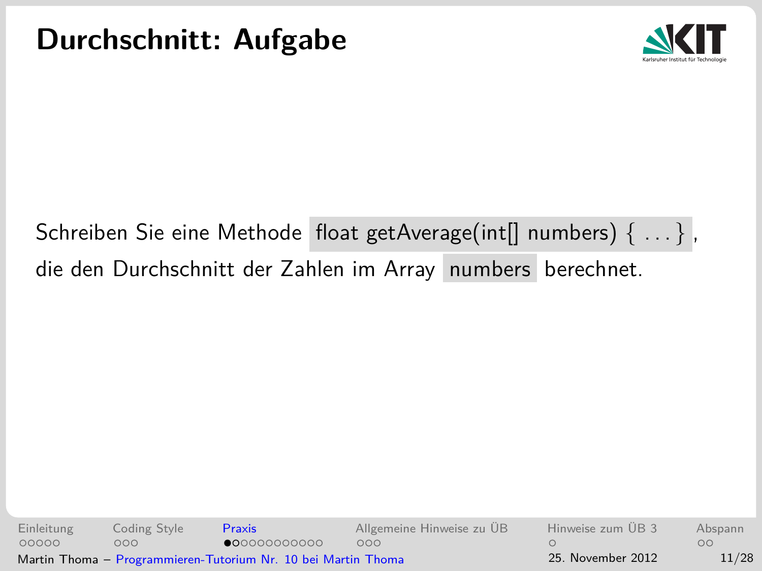<span id="page-10-0"></span>

### Schreiben Sie eine Methode float getAverage(int[] numbers) { ... }, die den Durchschnitt der Zahlen im Array numbers berechnet.

[Einleitung](#page-2-0) [Coding Style](#page-7-0) [Praxis](#page-10-0) [Allgemeine Hinweise zu ÜB](#page-22-0) [Hinweise zum ÜB 3](#page-25-0) [Abspann](#page-26-0) 00000  $000$  $•000000000000$  $000$  $\circ$  $\Omega$ Martin Thoma – [Programmieren-Tutorium Nr. 10 bei Martin Thoma](#page-0-0) 25. November 2012 11/28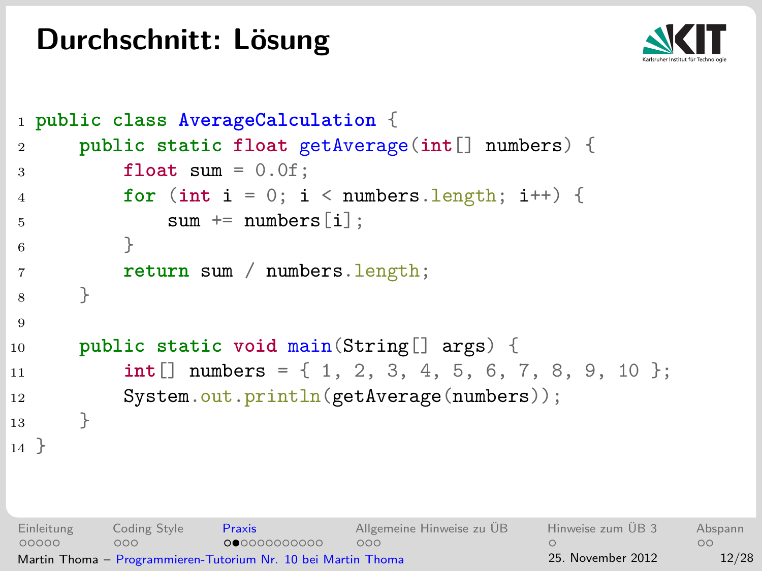### **Durchschnitt: Lösung**



<span id="page-11-0"></span> $\circ$ 

```
1 public class AverageCalculation {
2 public static float getAverage(int[] numbers) {
3 float sum = 0.0f;
4 for (int i = 0; i < numbers.length; i++) {
5 sum += numbers [i];
 6 }
7 return sum / numbers.length;
8 }
9
10 public static void main(String[] args) {
11 int[] numbers = { 1, 2, 3, 4, 5, 6, 7, 8, 9, 10 };
12 System.out.println(getAverage(numbers));
13 \qquad \qquad14 }
Einleitung Coding Style Praxis Allgemeine Hinweise zu ÜB Hinweise zum ÜB 3 Abspann
         00000000000
Martin Thoma – Programmieren-Tutorium Nr. 10 bei Martin Thoma 25. November 2012 12/28
```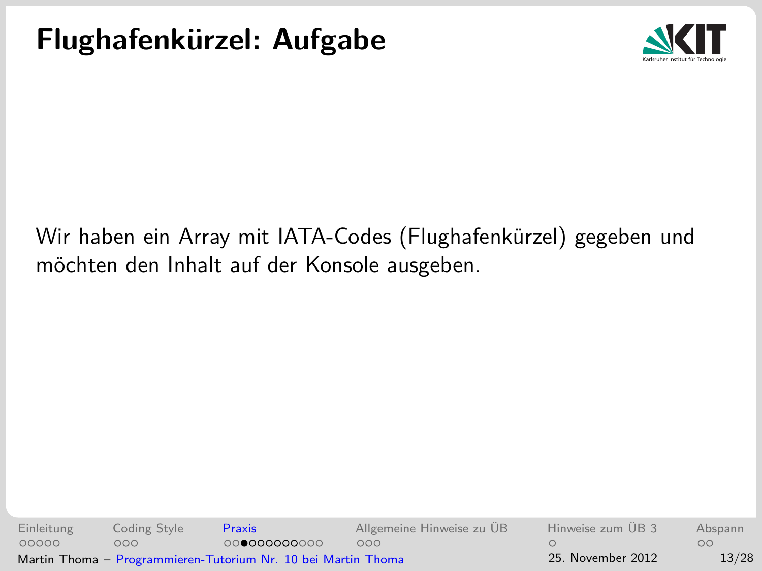<span id="page-12-0"></span>

Wir haben ein Array mit IATA-Codes (Flughafenkürzel) gegeben und möchten den Inhalt auf der Konsole ausgeben.

[Einleitung](#page-2-0) [Coding Style](#page-7-0) [Praxis](#page-10-0) [Allgemeine Hinweise zu ÜB](#page-22-0) [Hinweise zum ÜB 3](#page-25-0) [Abspann](#page-26-0) 00000  $000$  $000000000000$  $000$  $\circ$  $\Omega$ Martin Thoma – [Programmieren-Tutorium Nr. 10 bei Martin Thoma](#page-0-0) 25. November 2012 13/28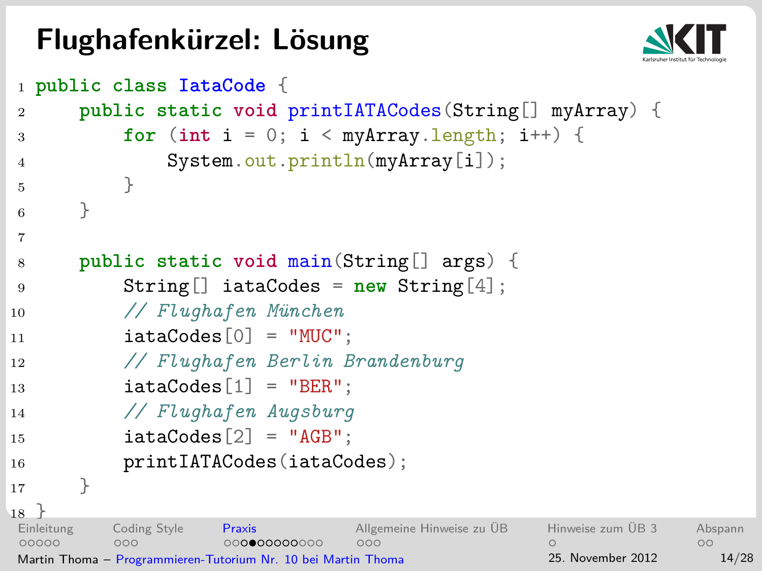# **Flughafenkürzel: Lösung**

<span id="page-13-0"></span>

```
1 public class IataCode {
2 public static void printIATACodes(String[] myArray) {
\mathbf{a} for (int \mathbf{i} = 0; \mathbf{i} \leq \text{myArray.length}; \mathbf{i}++) {
4 System.out.println(myArray[i]);
 5 }
 6 }
7
8 public static void main(String[] args) {
9 String[] iataCodes = new String[4];
10 // Flughafen München
11 iataCodes [0] = "MUC";
12 // Flughafen Berlin Brandenburg
13 iataCodes \lceil 1 \rceil = "BER":
14 // Flughafen Augsburg
15 iataCodes \lceil 2 \rceil = "AGB";
16 printIATACodes(iataCodes);
17 }
18 }<br>Einleitung
         Coding Style Praxis Allgemeine Hinweise zu ÜBHinweise zum ÜB 3Abspann
00000
          000000000000000000\circMartin Thoma – Programmieren-Tutorium Nr. 10 bei Martin Thoma 25. November 2012 14/28
```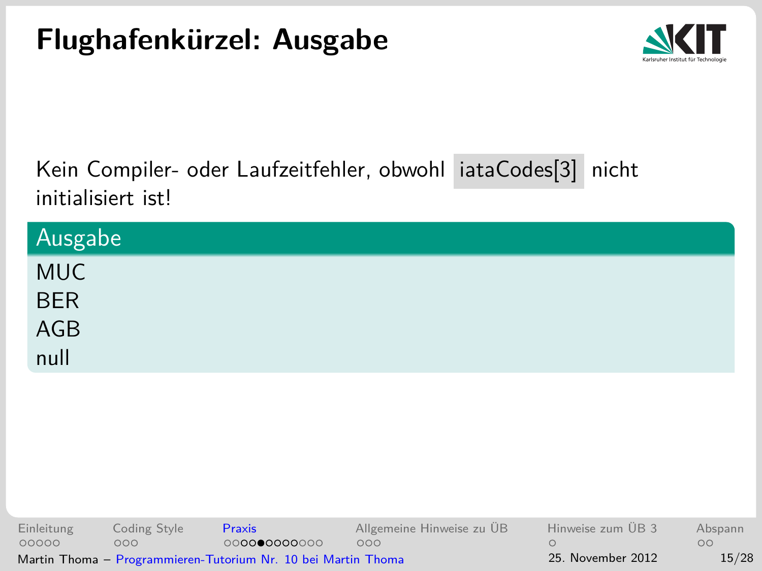<span id="page-14-0"></span>

### Kein Compiler- oder Laufzeitfehler, obwohl iataCodes[3] nicht initialisiert ist!

| Ausgabe    |  |
|------------|--|
| <b>MUC</b> |  |
| <b>BER</b> |  |
| AGB        |  |
| null       |  |

[Einleitung](#page-2-0) [Coding Style](#page-7-0) [Praxis](#page-10-0) [Allgemeine Hinweise zu ÜB](#page-22-0) [Hinweise zum ÜB 3](#page-25-0) [Abspann](#page-26-0) 00000  $000$  $\circ$  $\circ$ Martin Thoma – [Programmieren-Tutorium Nr. 10 bei Martin Thoma](#page-0-0) 25. November 2012 15/28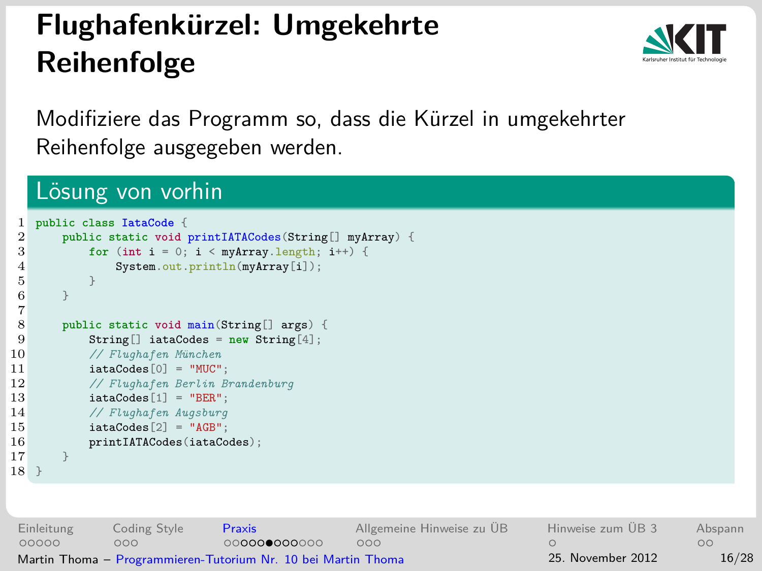# **Flughafenkürzel: Umgekehrte Reihenfolge**

<span id="page-15-0"></span>

Modifiziere das Programm so, dass die Kürzel in umgekehrter Reihenfolge ausgegeben werden.

### Lösung von vorhin

```
1 public class IataCode {
 2 public static void printIATACodes(String[] myArray) {<br>3 <b>for (int i = 0; i < myArray, length; i++) {
 3 for (int i = 0; i < myArray.length; i++) {<br>4 System out println(myArray[i]);
 4 System.out.println(myArray[i]);<br>5
 5 }
 6 }
 \frac{7}{8}8 public static void main(String[] args) {<br>9 <b>String[] istaCodes = new String[4]
9 String[] iataCodes = new String[4];<br>10 // Flughafen München
10 // Flughafen München
11 iataCodes[0] = "MUC";<br>12 // Flughafen Berlin B
12 // Flughafen Berlin Brandenburg
13 iataCodes[1] = "BER";<br>14 // Flughafen Augsburg
14 // Flughafen Augsburg
15 iataCodes[2] = "AGB";<br>16 printIATACodes(iataCo
               printIATACodes(iataCodes);
17 }
18 }
```
[Einleitung](#page-2-0) [Coding Style](#page-7-0) [Praxis](#page-10-0) [Allgemeine Hinweise zu ÜB](#page-22-0) [Hinweise zum ÜB 3](#page-25-0) [Abspann](#page-26-0) 00000  $000$  $0000000000000$  $000$  $\Omega$  $\circ$ Martin Thoma – [Programmieren-Tutorium Nr. 10 bei Martin Thoma](#page-0-0) 25. November 2012 16/28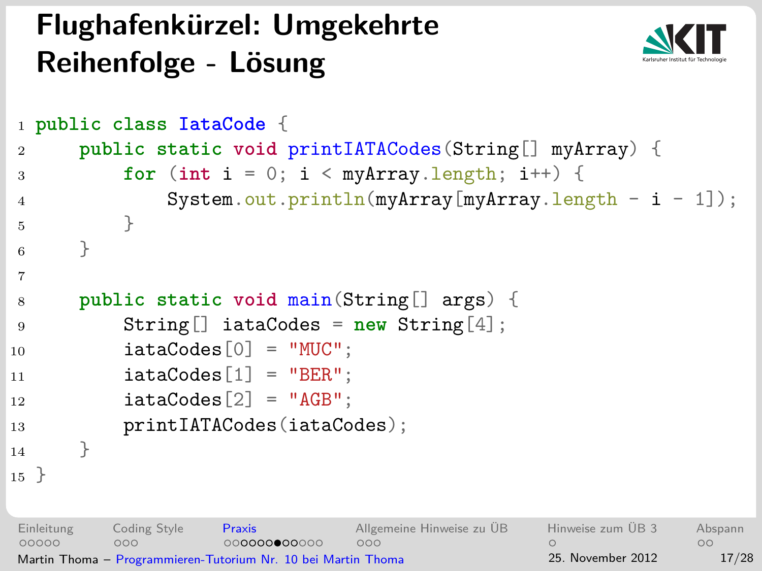# **Flughafenkürzel: Umgekehrte Reihenfolge - Lösung**

<span id="page-16-0"></span>

```
1 public class IataCode {
2 public static void printIATACodes(String[] myArray) {
3 for (int i = 0; i < myArray.length; i++) {
4 System.out.println(myArray[myArray.length - i - 1]);
5 }
6 }
7
8 public static void main(String[] args) {
9 String[] iataCodes = new String[4];
10 iataCodes [0] = "MUC";
11 iataCodes[1] = "BER";
12 iataCodes \lceil 2 \rceil = "AGB";
13 printIATACodes(iataCodes);
14 }
15 }
Einleitung Coding Style Praxis Allgemeine Hinweise zu ÜB Hinweise zum ÜB 3 Abspann
00000
         000000000000000
                              000\circ
```
Martin Thoma – [Programmieren-Tutorium Nr. 10 bei Martin Thoma](#page-0-0) 25. November 2012 17/28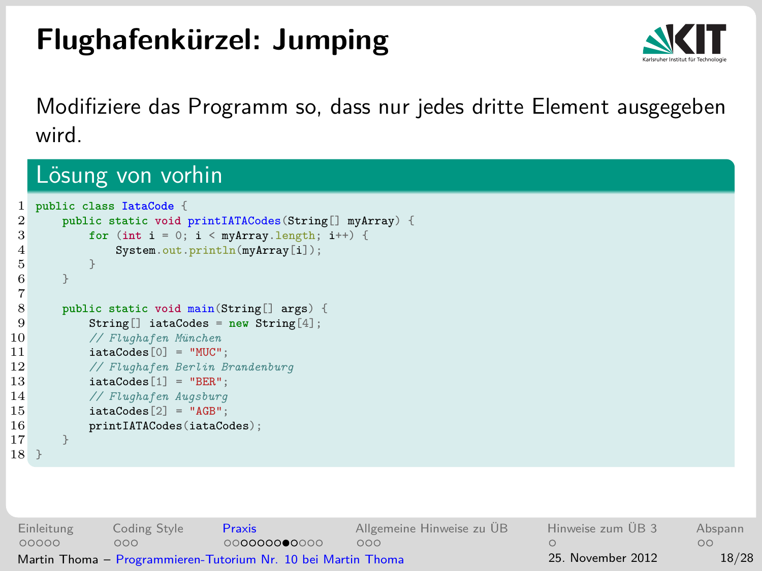# **Flughafenkürzel: Jumping**

<span id="page-17-0"></span>

Modifiziere das Programm so, dass nur jedes dritte Element ausgegeben wird.

### Lösung von vorhin

```
1 public class IataCode {
 2 public static void printIATACodes(String[] myArray) {<br>3 <b>for (int i = 0; i < myArray length; i++) {
 3 for (\text{int } i = 0; i < \text{myArray.length}; i++) {<br>4 System out println(myArray[i]);
 4 System.out.println(myArray[i]);<br>5 }
  5 }
 \overline{6}rac{7}{8}8 public static void main(String[] args) {<br>9 <b>String[] iataCodes = new String[4]
9 String[] iataCodes = new String[4];<br>10 // Flughafen München
10 // Flughafen München
11 iataCodes[0] = "MUC";<br>12 // Flughafen Berlin B
12 // Flughafen Berlin Brandenburg
13 iataCodes[1] = "BER";<br>14 // Flughafen Augsburg
                14 // Flughafen Augsburg
15 iataCodes[2] = "AGB";<br>16 printIATACodes(iataCo
                printIATACodes(iataCodes);
17 }
18 }
```
[Einleitung](#page-2-0) [Coding Style](#page-7-0) [Praxis](#page-10-0) [Allgemeine Hinweise zu ÜB](#page-22-0) [Hinweise zum ÜB 3](#page-25-0) [Abspann](#page-26-0) 00000  $000$  $0000000000000$  $000$  $\Omega$  $\circ$ Martin Thoma – [Programmieren-Tutorium Nr. 10 bei Martin Thoma](#page-0-0) 25. November 2012 18/28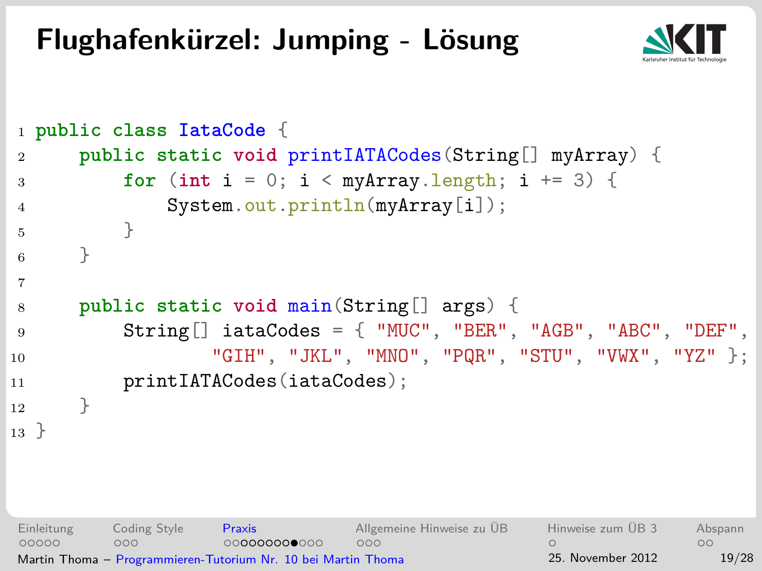### **Flughafenkürzel: Jumping - Lösung**

<span id="page-18-0"></span>

```
1 public class IataCode {
2 public static void printIATACodes(String[] myArray) {
3 for (int i = 0; i < myArray.length; i += 3) {
4 System.out.println(myArray[i]);
 5 }
 6 }
7
8 public static void main(String[] args) {
9 String[] iataCodes = { "MUC", "BER", "AGB", "ABC", "DEF",
10 "GIH", "JKL", "MNO", "PQR", "STU", "VWX", "YZ" };
11 printIATACodes(iataCodes);
12 \quad \frac{1}{2}13 }
Einleitung Coding Style Praxis Allgemeine Hinweise zu ÜB Hinweise zum ÜB 3 Abspann
00000
         000000\circMartin Thoma – Programmieren-Tutorium Nr. 10 bei Martin Thoma 25. November 2012 19/28
```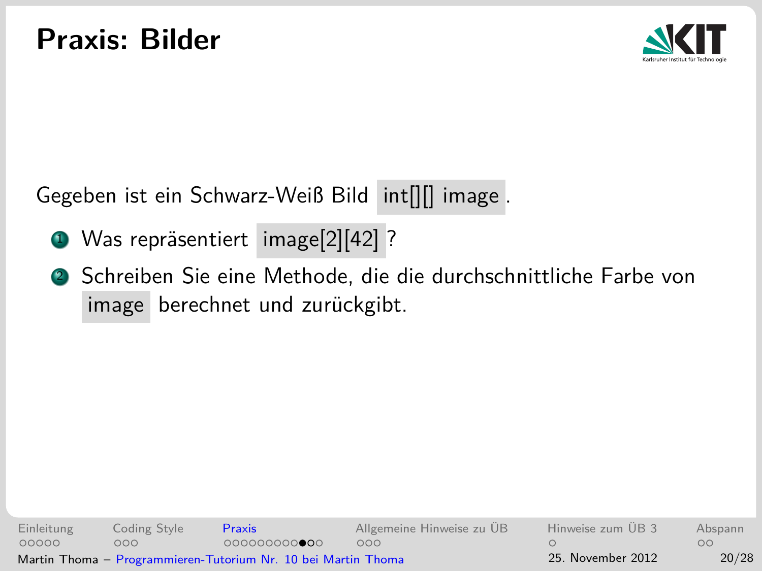<span id="page-19-0"></span>

Gegeben ist ein Schwarz-Weiß Bild int[][] image .

- <sup>1</sup> Was repräsentiert image[2][42] ?
- <sup>2</sup> Schreiben Sie eine Methode, die die durchschnittliche Farbe von image berechnet und zurückgibt.

[Einleitung](#page-2-0) [Coding Style](#page-7-0) [Praxis](#page-10-0) [Allgemeine Hinweise zu ÜB](#page-22-0) [Hinweise zum ÜB 3](#page-25-0) [Abspann](#page-26-0)  $000$  $0000000000000$  $000$  $\circ$ 00000  $\Omega$ Martin Thoma – [Programmieren-Tutorium Nr. 10 bei Martin Thoma](#page-0-0) 25. November 2012 20/28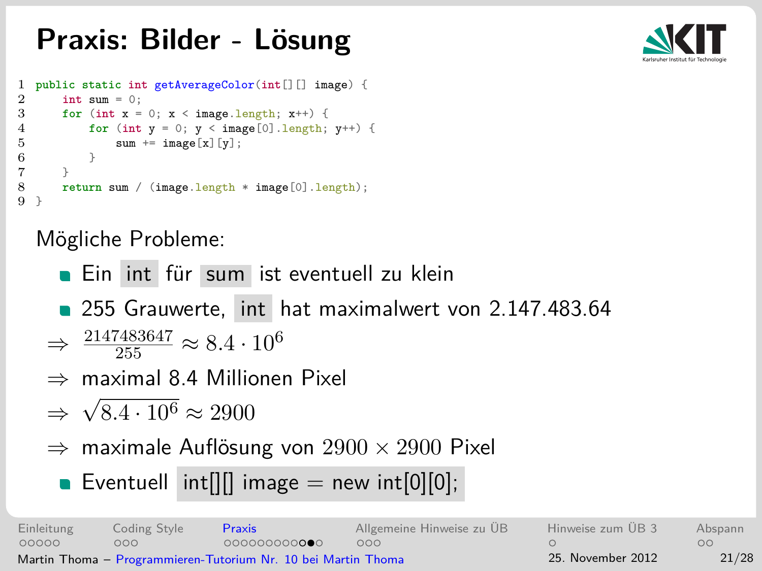### **Praxis: Bilder - Lösung**

<span id="page-20-0"></span>

```
1 public static int getAverageColor(int[][] image) {
2 int sum = 0;<br>3 for (int x =3 for (int x = 0; x < in</math> image.length; <math>x++</math>) {<br>for (int <math>y = 0</math>: <math>y < in</math> area [0] length:f(x) = 0; y < \text{image}[0].length; y^{++}) {<br>\frac{\text{sum}}{2} + \text{image}[y] \cdot5 sum + 1 mage[x][y];6 }
7 }
8 return sum / (image.length * image[0].length);
9 }
```
### Mögliche Probleme:

- **Ein int für sum ist eventuell zu klein**
- 255 Grauwerte, int hat maximalwert von 2.147.483.64

$$
\Rightarrow \frac{2147483647}{255} \approx 8.4 \cdot 10^6
$$

- ⇒ maximal 8.4 Millionen Pixel
- ⇒ √  $8.4 \cdot 10^6 \approx 2900$
- $\Rightarrow$  maximale Auflösung von  $2900 \times 2900$  Pixel
	- Eventuell int $\text{||}$  image = new int $\text{[}0\text{]}0\text{]}$ ;

[Einleitung](#page-2-0) [Coding Style](#page-7-0) [Praxis](#page-10-0) [Allgemeine Hinweise zu ÜB](#page-22-0) [Hinweise zum ÜB 3](#page-25-0) [Abspann](#page-26-0)  $000$ 0000000000●0  $000$ 00000  $OO$ Martin Thoma – [Programmieren-Tutorium Nr. 10 bei Martin Thoma](#page-0-0) 25. November 2012 21/28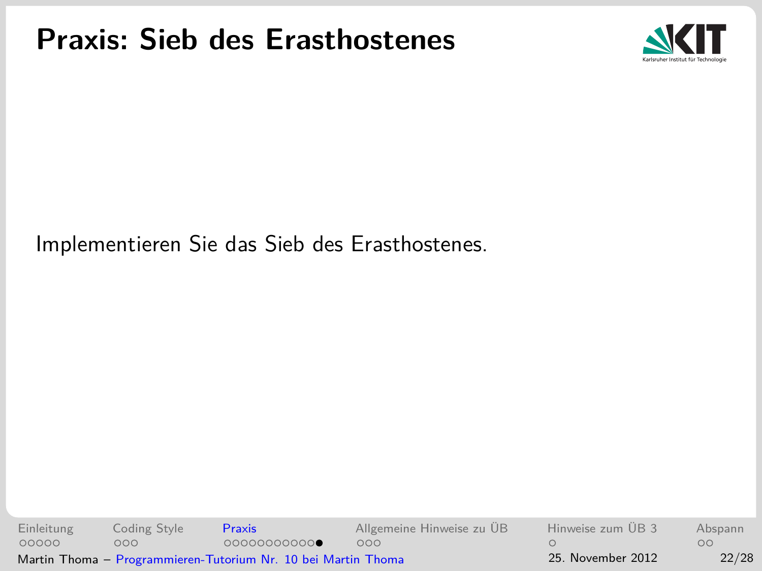### **Praxis: Sieb des Erasthostenes**

<span id="page-21-0"></span>

### Implementieren Sie das Sieb des Erasthostenes.

[Einleitung](#page-2-0) [Coding Style](#page-7-0) [Praxis](#page-10-0) [Allgemeine Hinweise zu ÜB](#page-22-0) [Hinweise zum ÜB 3](#page-25-0) [Abspann](#page-26-0) 00000  $\Omega$  $OO$ Martin Thoma – [Programmieren-Tutorium Nr. 10 bei Martin Thoma](#page-0-0) 25. November 2012 22/28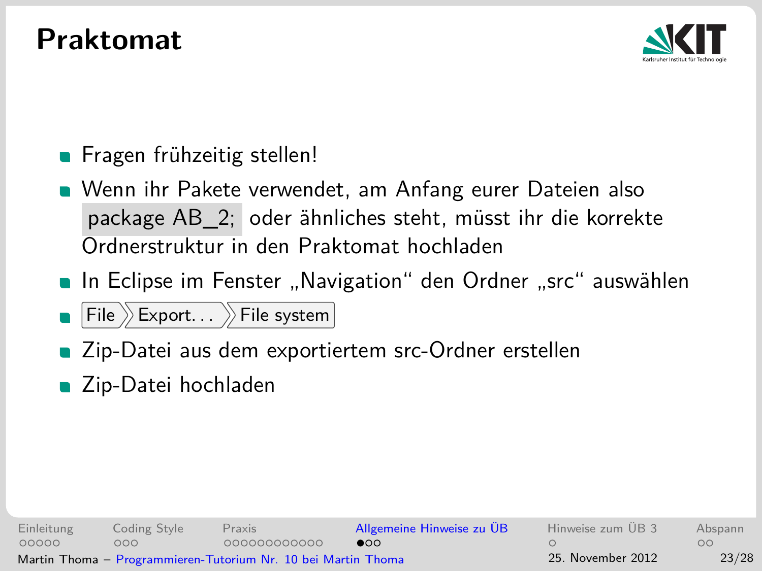### **Praktomat**

<span id="page-22-0"></span>

- **Fragen frühzeitig stellen!**
- Wenn ihr Pakete verwendet, am Anfang eurer Dateien also package AB\_2; oder ähnliches steht, müsst ihr die korrekte Ordnerstruktur in den Praktomat hochladen
- In Eclipse im Fenster "Navigation" den Ordner "src" auswählen
- $\boxed{\mathsf{File}}$   $\mathsf{\geq\textsf{Export.}}$   $\ldots$   $\mathsf{\geqslant}$  File system
- Zip-Datei aus dem exportiertem src-Ordner erstellen
- Zip-Datei hochladen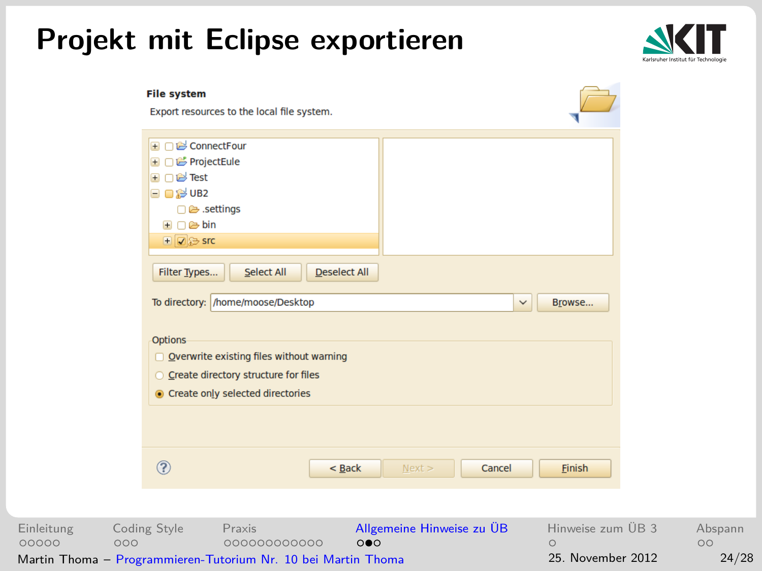### **Projekt mit Eclipse exportieren**

<span id="page-23-0"></span>

|                                                                                             | <b>File system</b><br>Export resources to the local file system.                                                                                                                                                                                                                                                                                            |                                                                                        |                                                    |              |                                                   |  |                             |
|---------------------------------------------------------------------------------------------|-------------------------------------------------------------------------------------------------------------------------------------------------------------------------------------------------------------------------------------------------------------------------------------------------------------------------------------------------------------|----------------------------------------------------------------------------------------|----------------------------------------------------|--------------|---------------------------------------------------|--|-----------------------------|
|                                                                                             | <b>El ∩<sup>ed</sup></b> ConnectFour<br><b>E</b> □ <del>2</del> ProjectEule<br><b>H</b> □ ■ Test<br>$\Box$ $\Box$ $\otimes$ UB2<br>□ esettings<br>$\boxplus$ $\Box \triangleright$ bin<br>$\Box$ $\Box$ Src<br>Filter Types<br>To directory: /home/moose/Desktop<br>Options<br>○ Create directory structure for files<br>● Create only selected directories | <b>Deselect All</b><br><b>Select All</b><br>□ Overwrite existing files without warning |                                                    | $\checkmark$ | Browse                                            |  |                             |
|                                                                                             | $^{\circledR}$                                                                                                                                                                                                                                                                                                                                              | $<$ Back                                                                               | Next                                               | Cancel       | Einish                                            |  |                             |
| Einleitung<br>00000<br>000<br>Martin Thoma - Programmieren-Tutorium Nr. 10 bei Martin Thoma | Coding Style<br>Praxis                                                                                                                                                                                                                                                                                                                                      | 000000000000                                                                           | Allgemeine Hinweise zu ÜB<br>$\circ \bullet \circ$ |              | Hinweise zum ÜB 3<br>$\circ$<br>25. November 2012 |  | Abspann<br>$\circ$<br>24/28 |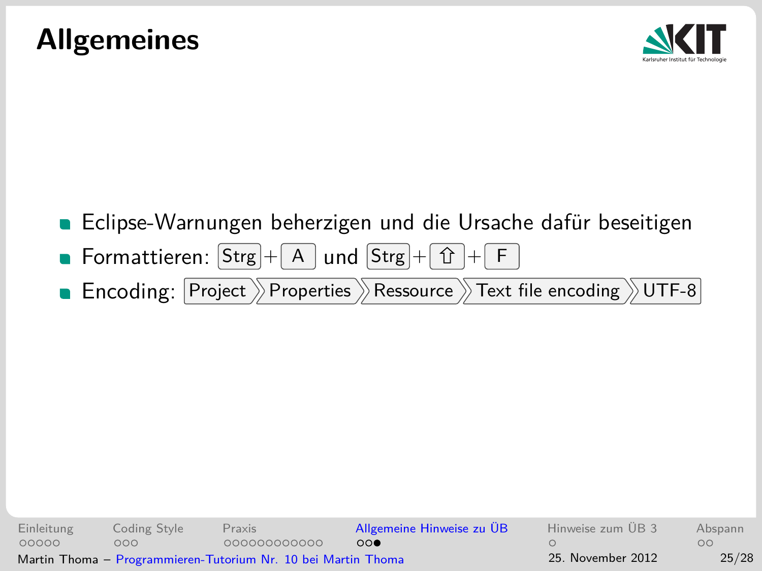<span id="page-24-0"></span>

- Eclipse-Warnungen beherzigen und die Ursache dafür beseitigen
- Formattieren:  $\lceil \text{Strg} \rceil + \lceil A \rceil$  und  $\lceil \text{Strg} \rceil + \lceil \hat{H} \rceil + \lceil F \rceil$
- **Encoding: Project >> Properties >> Ressource >> Text file encoding >> UTF-8**

[Einleitung](#page-2-0) [Coding Style](#page-7-0) [Praxis](#page-10-0) [Allgemeine Hinweise zu ÜB](#page-22-0) [Hinweise zum ÜB 3](#page-25-0) [Abspann](#page-26-0) 00000  $000$ 00000000000  $000$  $\circ$  $\Omega$ Martin Thoma – [Programmieren-Tutorium Nr. 10 bei Martin Thoma](#page-0-0) 25. November 2012 25/28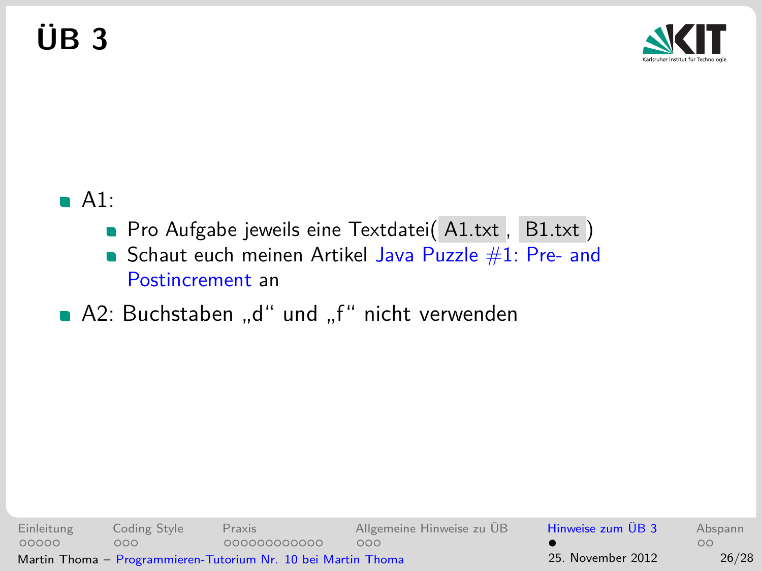**ÜB 3**

<span id="page-25-0"></span>

### $\blacksquare$  A1:

- Pro Aufgabe jeweils eine Textdatei( A1.txt, B1.txt)
- Schaut euch meinen Artikel Java Puzzle  $#1$ : Pre- and [Postincrement](http://martin-thoma.com/java-puzzle-1-pre-and-postincrement/) an
- A2: Buchstaben "d" und "f" nicht verwenden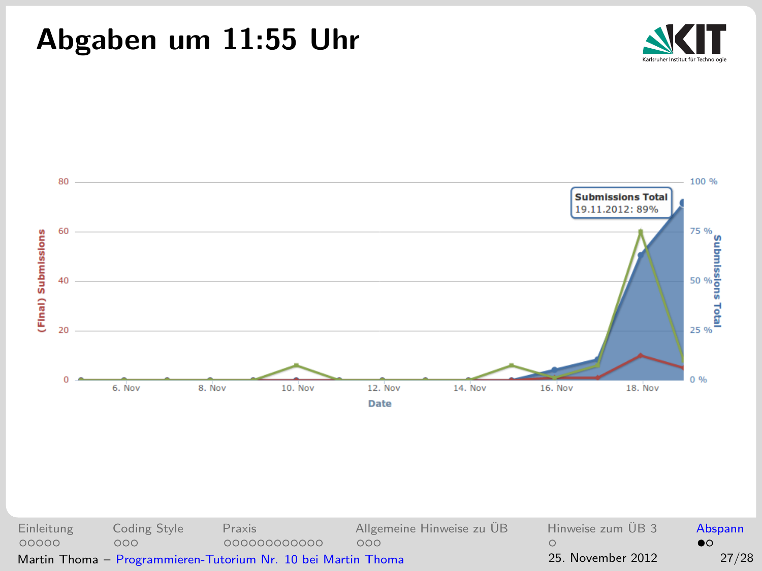### **Abgaben um 11:55 Uhr**





#### Martin Thoma – [Programmieren-Tutorium Nr. 10 bei Martin Thoma](#page-0-0) 25. November 2012 27/28

<span id="page-26-0"></span>